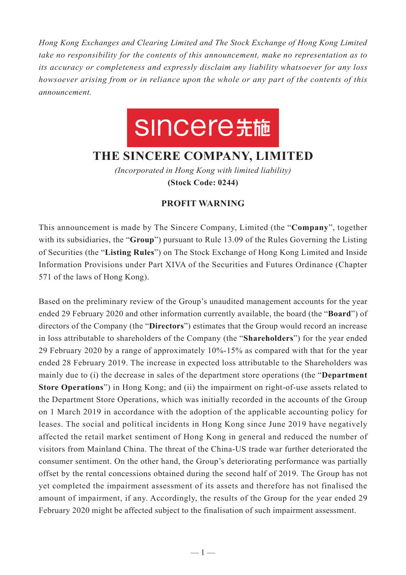*Hong Kong Exchanges and Clearing Limited and The Stock Exchange of Hong Kong Limited take no responsibility for the contents of this announcement, make no representation as to its accuracy or completeness and expressly disclaim any liability whatsoever for any loss howsoever arising from or in reliance upon the whole or any part of the contents of this announcement.*

## SINCere先施

## **THE SINCERE COMPANY, LIMITED**

*(Incorporated in Hong Kong with limited liability)* **(Stock Code: 0244)**

## **PROFIT WARNING**

This announcement is made by The Sincere Company, Limited (the "**Company**", together with its subsidiaries, the "**Group**") pursuant to Rule 13.09 of the Rules Governing the Listing of Securities (the "**Listing Rules**") on The Stock Exchange of Hong Kong Limited and Inside Information Provisions under Part XIVA of the Securities and Futures Ordinance (Chapter 571 of the laws of Hong Kong).

Based on the preliminary review of the Group's unaudited management accounts for the year ended 29 February 2020 and other information currently available, the board (the "**Board**") of directors of the Company (the "**Directors**") estimates that the Group would record an increase in loss attributable to shareholders of the Company (the "**Shareholders**") for the year ended 29 February 2020 by a range of approximately 10%-15% as compared with that for the year ended 28 February 2019. The increase in expected loss attributable to the Shareholders was mainly due to (i) the decrease in sales of the department store operations (the "**Department Store Operations**") in Hong Kong; and (ii) the impairment on right-of-use assets related to the Department Store Operations, which was initially recorded in the accounts of the Group on 1 March 2019 in accordance with the adoption of the applicable accounting policy for leases. The social and political incidents in Hong Kong since June 2019 have negatively affected the retail market sentiment of Hong Kong in general and reduced the number of visitors from Mainland China. The threat of the China-US trade war further deteriorated the consumer sentiment. On the other hand, the Group's deteriorating performance was partially offset by the rental concessions obtained during the second half of 2019. The Group has not yet completed the impairment assessment of its assets and therefore has not finalised the amount of impairment, if any. Accordingly, the results of the Group for the year ended 29 February 2020 might be affected subject to the finalisation of such impairment assessment.